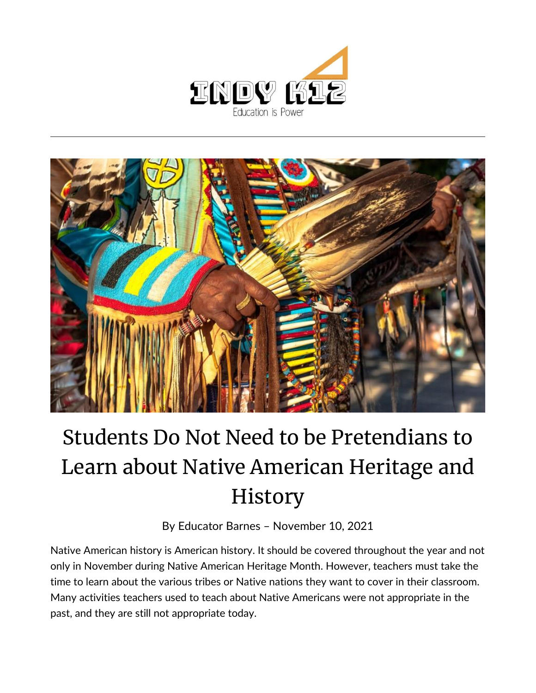



## Students Do Not Need to be Pretendians to Learn about Native American Heritage and History

By [Educator Barnes](https://indy.education/author/shicole/) – November 10, 2021

Native American history is American history. It should be covered throughout the year and not only in November during Native American Heritage Month. However, teachers must take the time to learn about the various tribes or Native nations they want to cover in their classroom. Many activities teachers used to teach about Native Americans were not appropriate in the past, and they are still not appropriate today.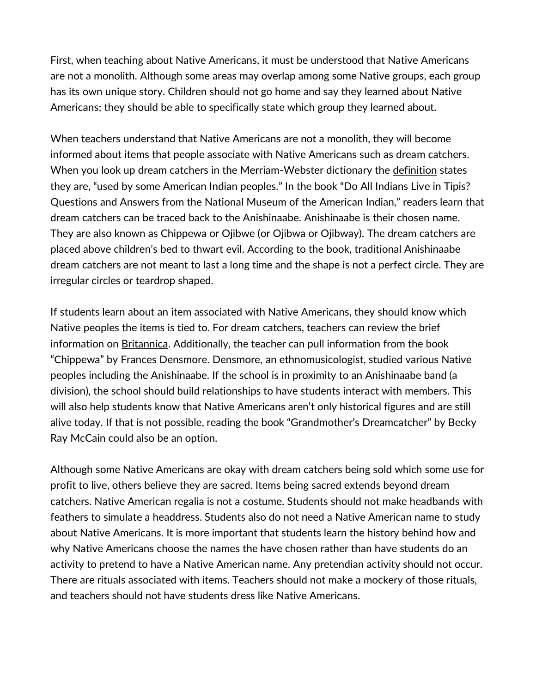First, when teaching about Native Americans, it must be understood that Native Americans are not a monolith. Although some areas may overlap among some Native groups, each group has its own unique story. Children should not go home and say they learned about Native Americans; they should be able to specifically state which group they learned about.

When teachers understand that Native Americans are not a monolith, they will become informed about items that people associate with Native Americans such as dream catchers. When you look up dream catchers in the Merriam-Webster dictionary the [definition](https://www.merriam-webster.com/dictionary/dream%20catcher) states they are, "used by some American Indian peoples." In the book "Do All Indians Live in Tipis? Questions and Answers from the National Museum of the American Indian," readers learn that dream catchers can be traced back to the Anishinaabe. Anishinaabe is their chosen name. They are also known as Chippewa or Ojibwe (or Ojibwa or Ojibway). The dream catchers are placed above children's bed to thwart evil. According to the book, traditional Anishinaabe dream catchers are not meant to last a long time and the shape is not a perfect circle. They are irregular circles or teardrop shaped.

If students learn about an item associated with Native Americans, they should know which Native peoples the items is tied to. For dream catchers, teachers can review the brief information on [Britannica.](https://www.britannica.com/topic/Ojibwa) Additionally, the teacher can pull information from the book "Chippewa" by Frances Densmore. Densmore, an ethnomusicologist, studied various Native peoples including the Anishinaabe. If the school is in proximity to an Anishinaabe band (a division), the school should build relationships to have students interact with members. This will also help students know that Native Americans aren't only historical figures and are still alive today. If that is not possible, reading the book "Grandmother's Dreamcatcher" by Becky Ray McCain could also be an option.

Although some Native Americans are okay with dream catchers being sold which some use for profit to live, others believe they are sacred. Items being sacred extends beyond dream catchers. Native American regalia is not a costume. Students should not make headbands with feathers to simulate a headdress. Students also do not need a Native American name to study about Native Americans. It is more important that students learn the history behind how and why Native Americans choose the names the have chosen rather than have students do an activity to pretend to have a Native American name. Any pretendian activity should not occur. There are rituals associated with items. Teachers should not make a mockery of those rituals, and teachers should not have students dress like Native Americans.